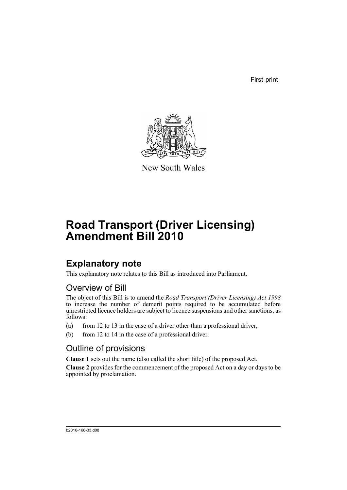First print



New South Wales

# **Road Transport (Driver Licensing) Amendment Bill 2010**

## **Explanatory note**

This explanatory note relates to this Bill as introduced into Parliament.

### Overview of Bill

The object of this Bill is to amend the *Road Transport (Driver Licensing) Act 1998* to increase the number of demerit points required to be accumulated before unrestricted licence holders are subject to licence suspensions and other sanctions, as follows:

- (a) from 12 to 13 in the case of a driver other than a professional driver,
- (b) from 12 to 14 in the case of a professional driver.

### Outline of provisions

**Clause 1** sets out the name (also called the short title) of the proposed Act.

**Clause 2** provides for the commencement of the proposed Act on a day or days to be appointed by proclamation.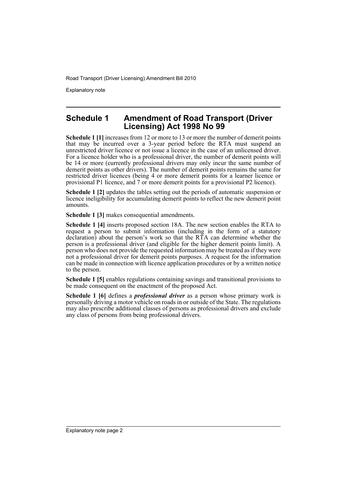Road Transport (Driver Licensing) Amendment Bill 2010

Explanatory note

#### **Schedule 1 Amendment of Road Transport (Driver Licensing) Act 1998 No 99**

**Schedule 1 [1]** increases from 12 or more to 13 or more the number of demerit points Scheulte 1 [1] increases nothing of more to 12 of more the RTA must suspend an that may be incurred over a 3-year period before the RTA must suspend an unrestricted driver licence or not issue a licence in the case of an unlicensed driver. For a licence holder who is a professional driver, the number of demerit points will be 14 or more (currently professional drivers may only incur the same number of demerit points as other drivers). The number of demerit points remains the same for restricted driver licences (being 4 or more demerit points for a learner licence or provisional P1 licence, and 7 or more demerit points for a provisional P2 licence).

**Schedule 1 [2]** updates the tables setting out the periods of automatic suspension or licence ineligibility for accumulating demerit points to reflect the new demerit point amounts.

**Schedule 1 [3]** makes consequential amendments.

**Schedule 1 [4]** inserts proposed section 18A. The new section enables the RTA to request a person to submit information (including in the form of a statutory declaration) about the person's work so that the RTA can determine whether the person is a professional driver (and eligible for the higher demerit points limit). A person who does not provide the requested information may be treated as if they were not a professional driver for demerit points purposes. A request for the information can be made in connection with licence application procedures or by a written notice to the person.

**Schedule 1 [5]** enables regulations containing savings and transitional provisions to be made consequent on the enactment of the proposed Act.

**Schedule 1 [6]** defines a *professional driver* as a person whose primary work is personally driving a motor vehicle on roads in or outside of the State. The regulations may also prescribe additional classes of persons as professional drivers and exclude any class of persons from being professional drivers.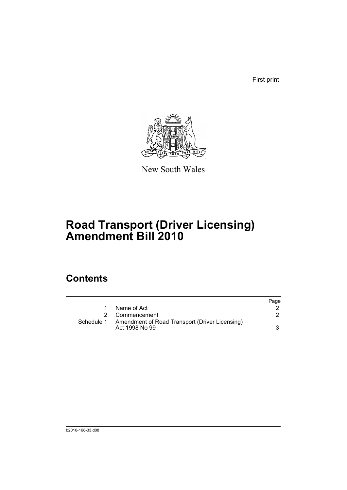First print



New South Wales

# **Road Transport (Driver Licensing) Amendment Bill 2010**

### **Contents**

|            |                                                                  | Page |
|------------|------------------------------------------------------------------|------|
|            | Name of Act                                                      |      |
|            | 2 Commencement                                                   |      |
| Schedule 1 | Amendment of Road Transport (Driver Licensing)<br>Act 1998 No 99 |      |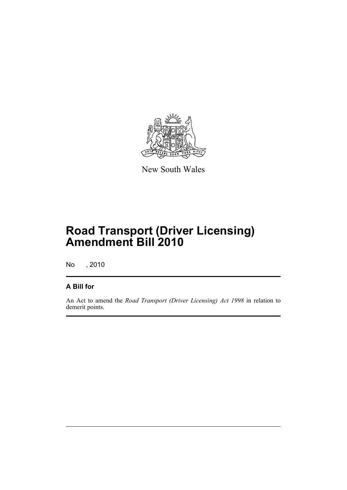

New South Wales

## **Road Transport (Driver Licensing) Amendment Bill 2010**

No , 2010

#### **A Bill for**

An Act to amend the *Road Transport (Driver Licensing) Act 1998* in relation to demerit points.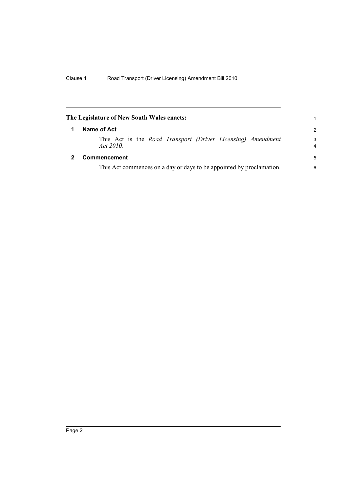<span id="page-5-1"></span><span id="page-5-0"></span>

| The Legislature of New South Wales enacts:                           |                                                                                 | 1             |
|----------------------------------------------------------------------|---------------------------------------------------------------------------------|---------------|
| 1                                                                    | Name of Act                                                                     | $\mathcal{P}$ |
|                                                                      | This Act is the <i>Road Transport (Driver Licensing)</i> Amendment<br>Act 2010. | 3<br>4        |
| 2                                                                    | Commencement                                                                    | 5             |
| This Act commences on a day or days to be appointed by proclamation. |                                                                                 | 6             |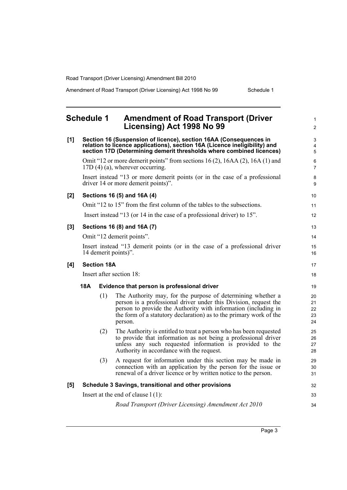Road Transport (Driver Licensing) Amendment Bill 2010

Amendment of Road Transport (Driver Licensing) Act 1998 No 99 Schedule 1

<span id="page-6-0"></span>

|       | <b>Schedule 1</b>                                                                                                                                                                                                       |                    | <b>Amendment of Road Transport (Driver</b><br>Licensing) Act 1998 No 99                                                                                                                                                                                                            | $\mathbf{1}$<br>$\overline{2}$ |  |
|-------|-------------------------------------------------------------------------------------------------------------------------------------------------------------------------------------------------------------------------|--------------------|------------------------------------------------------------------------------------------------------------------------------------------------------------------------------------------------------------------------------------------------------------------------------------|--------------------------------|--|
| [1]   | Section 16 (Suspension of licence), section 16AA (Consequences in<br>relation to licence applications), section 16A (Licence ineligibility) and<br>section 17D (Determining demerit thresholds where combined licences) |                    |                                                                                                                                                                                                                                                                                    | 3<br>4<br>5                    |  |
|       |                                                                                                                                                                                                                         |                    | Omit "12 or more demerit points" from sections $16(2)$ , $16AA(2)$ , $16A(1)$ and<br>$17D(4)$ (a), wherever occurring.                                                                                                                                                             | 6<br>$\overline{7}$            |  |
|       |                                                                                                                                                                                                                         |                    | Insert instead "13 or more demerit points (or in the case of a professional<br>driver 14 or more demerit points)".                                                                                                                                                                 | 8<br>9                         |  |
| [2]   |                                                                                                                                                                                                                         |                    | Sections 16 (5) and 16A (4)                                                                                                                                                                                                                                                        | 10                             |  |
|       |                                                                                                                                                                                                                         |                    | Omit "12 to 15" from the first column of the tables to the subsections.                                                                                                                                                                                                            | 11                             |  |
|       |                                                                                                                                                                                                                         |                    | Insert instead "13 (or 14 in the case of a professional driver) to 15".                                                                                                                                                                                                            | 12                             |  |
| $[3]$ |                                                                                                                                                                                                                         |                    | Sections 16 (8) and 16A (7)                                                                                                                                                                                                                                                        | 13                             |  |
|       |                                                                                                                                                                                                                         |                    | Omit "12 demerit points".                                                                                                                                                                                                                                                          | 14                             |  |
|       |                                                                                                                                                                                                                         |                    | Insert instead "13 demerit points (or in the case of a professional driver<br>14 demerit points)".                                                                                                                                                                                 | 15<br>16                       |  |
| [4]   |                                                                                                                                                                                                                         | <b>Section 18A</b> |                                                                                                                                                                                                                                                                                    | 17                             |  |
|       |                                                                                                                                                                                                                         |                    | Insert after section 18:                                                                                                                                                                                                                                                           | 18                             |  |
|       | 18A                                                                                                                                                                                                                     |                    | Evidence that person is professional driver                                                                                                                                                                                                                                        | 19                             |  |
|       |                                                                                                                                                                                                                         | (1)                | The Authority may, for the purpose of determining whether a<br>person is a professional driver under this Division, request the<br>person to provide the Authority with information (including in<br>the form of a statutory declaration) as to the primary work of the<br>person. | 20<br>21<br>22<br>23<br>24     |  |
|       |                                                                                                                                                                                                                         | (2)                | The Authority is entitled to treat a person who has been requested<br>to provide that information as not being a professional driver<br>unless any such requested information is provided to the<br>Authority in accordance with the request.                                      | 25<br>26<br>27<br>28           |  |
|       |                                                                                                                                                                                                                         | (3)                | A request for information under this section may be made in<br>connection with an application by the person for the issue or<br>renewal of a driver licence or by written notice to the person.                                                                                    | 29<br>30<br>31                 |  |
| [5]   |                                                                                                                                                                                                                         |                    | Schedule 3 Savings, transitional and other provisions                                                                                                                                                                                                                              | 32                             |  |
|       | Insert at the end of clause $1(1)$ :                                                                                                                                                                                    |                    |                                                                                                                                                                                                                                                                                    |                                |  |
|       |                                                                                                                                                                                                                         |                    | Road Transport (Driver Licensing) Amendment Act 2010                                                                                                                                                                                                                               | 34                             |  |